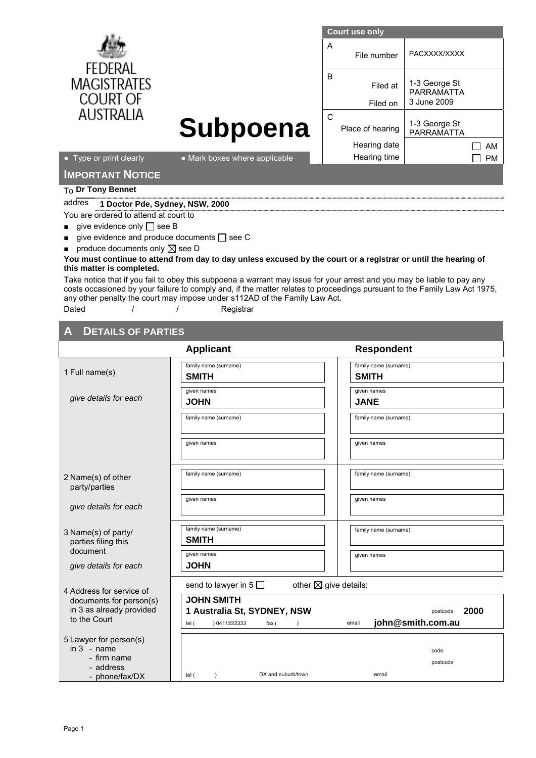|                                       | <b>Court use only</b>         |                                      |                                                   |
|---------------------------------------|-------------------------------|--------------------------------------|---------------------------------------------------|
| <b>FEDERAL</b>                        |                               | A<br>File number                     | PACXXXX/XXXX                                      |
| <b>MAGISTRATES</b><br><b>COURT OF</b> |                               | <sub>B</sub><br>Filed at<br>Filed on | 1-3 George St<br><b>PARRAMATTA</b><br>3 June 2009 |
| <b>AUSTRALIA</b>                      |                               | C                                    |                                                   |
|                                       | Subpoena                      | Place of hearing                     | 1-3 George St<br><b>PARRAMATTA</b>                |
|                                       |                               | Hearing date                         | AM                                                |
| • Type or print clearly               | • Mark boxes where applicable | Hearing time                         | <b>PM</b>                                         |
| <b>IMPORTANT NOTICE</b>               |                               |                                      |                                                   |
| $T_{\Omega}$ Dr Tony Bennet           |                               |                                      |                                                   |

## addres **1 Doctor Pde, Sydney, NSW, 2000**

- You are ordered to attend at court to
- $\Box$  give evidence only  $\Box$  see B
- $\Box$  give evidence and produce documents  $\Box$  see C
- $\blacksquare$  produce documents only  $\boxtimes$  see D

## **You must continue to attend from day to day unless excused by the court or a registrar or until the hearing of this matter is completed.**

Take notice that if you fail to obey this subpoena a warrant may issue for your arrest and you may be liable to pay any costs occasioned by your failure to comply and, if the matter relates to proceedings pursuant to the Family Law Act 1975, any other penalty the court may impose under s112AD of the Family Law Act.

Dated / / / Registrar

## **DETAILS OF PARTIES**

|                                                                                       | <b>Applicant</b>                                                                   | <b>Respondent</b>                              |
|---------------------------------------------------------------------------------------|------------------------------------------------------------------------------------|------------------------------------------------|
| 1 Full name(s)                                                                        | family name (surname)<br><b>SMITH</b>                                              | family name (surname)<br><b>SMITH</b>          |
| give details for each                                                                 | given names<br><b>JOHN</b>                                                         | given names<br><b>JANE</b>                     |
|                                                                                       | family name (surname)                                                              | family name (surname)                          |
|                                                                                       | given names                                                                        | given names                                    |
| 2 Name(s) of other<br>party/parties                                                   | family name (surname)                                                              | family name (surname)                          |
| give details for each                                                                 | given names                                                                        | given names                                    |
| 3 Name(s) of party/<br>parties filing this<br>document                                | family name (surname)<br><b>SMITH</b><br>given names                               | family name (surname)                          |
| give details for each                                                                 | <b>JOHN</b>                                                                        | given names                                    |
| 4 Address for service of<br>documents for person(s)<br>in 3 as already provided       | other $\boxtimes$ give details:<br>send to lawyer in $5 \Box$<br><b>JOHN SMITH</b> |                                                |
| to the Court                                                                          | 1 Australia St, SYDNEY, NSW<br>) 0411222333<br>tel (<br>fax (                      | 2000<br>postcode<br>john@smith.com.au<br>email |
| 5 Lawyer for person(s)<br>$in 3 - name$<br>- firm name<br>- address<br>- phone/fax/DX | DX and suburb/town<br>tel (<br>$\lambda$                                           | code<br>postcode<br>email                      |